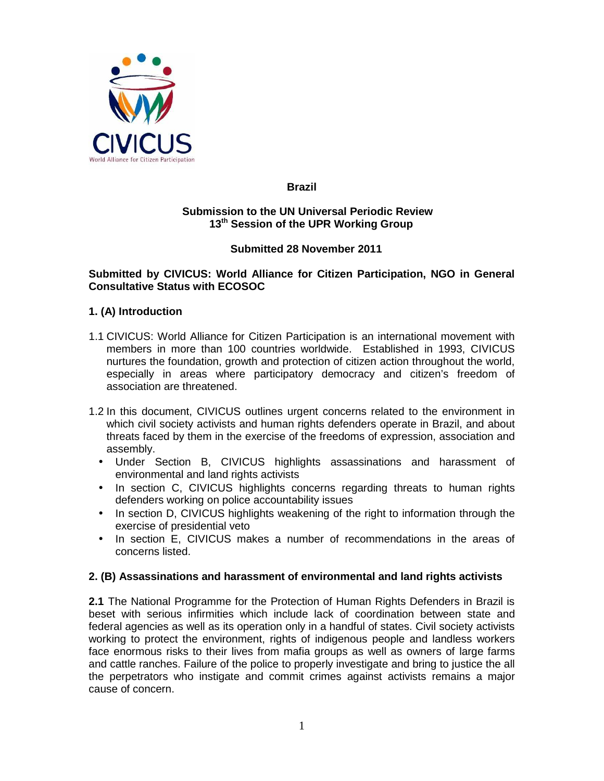

## **Brazil**

#### **Submission to the UN Universal Periodic Review 13th Session of the UPR Working Group**

## **Submitted 28 November 2011**

## **Submitted by CIVICUS: World Alliance for Citizen Participation, NGO in General Consultative Status with ECOSOC**

## **1. (A) Introduction**

- 1.1 CIVICUS: World Alliance for Citizen Participation is an international movement with members in more than 100 countries worldwide. Established in 1993, CIVICUS nurtures the foundation, growth and protection of citizen action throughout the world, especially in areas where participatory democracy and citizen's freedom of association are threatened.
- 1.2 In this document, CIVICUS outlines urgent concerns related to the environment in which civil society activists and human rights defenders operate in Brazil, and about threats faced by them in the exercise of the freedoms of expression, association and assembly.
	- Under Section B, CIVICUS highlights assassinations and harassment of environmental and land rights activists
	- In section C, CIVICUS highlights concerns regarding threats to human rights defenders working on police accountability issues
	- In section D, CIVICUS highlights weakening of the right to information through the exercise of presidential veto
	- In section E, CIVICUS makes a number of recommendations in the areas of concerns listed.

#### **2. (B) Assassinations and harassment of environmental and land rights activists**

**2.1** The National Programme for the Protection of Human Rights Defenders in Brazil is beset with serious infirmities which include lack of coordination between state and federal agencies as well as its operation only in a handful of states. Civil society activists working to protect the environment, rights of indigenous people and landless workers face enormous risks to their lives from mafia groups as well as owners of large farms and cattle ranches. Failure of the police to properly investigate and bring to justice the all the perpetrators who instigate and commit crimes against activists remains a major cause of concern.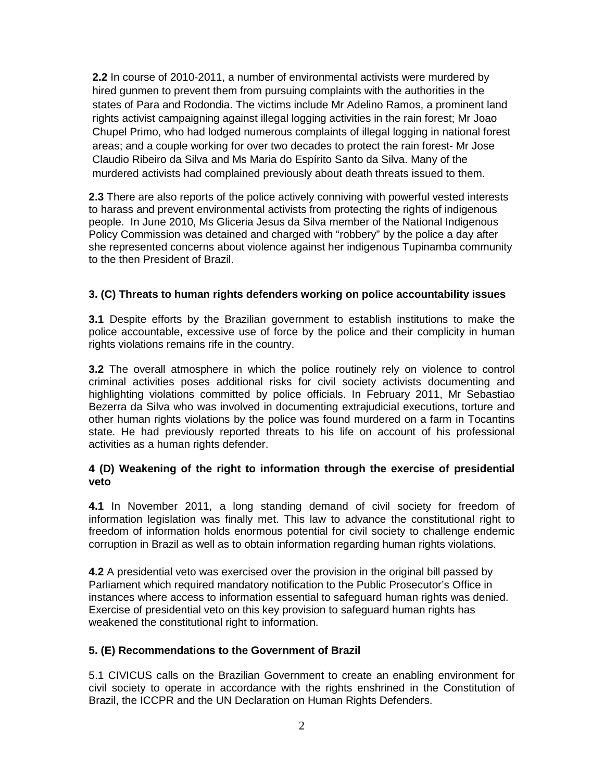**2.2** In course of 2010-2011, a number of environmental activists were murdered by hired gunmen to prevent them from pursuing complaints with the authorities in the states of Para and Rodondia. The victims include Mr Adelino Ramos, a prominent land rights activist campaigning against illegal logging activities in the rain forest; Mr Joao Chupel Primo, who had lodged numerous complaints of illegal logging in national forest areas; and a couple working for over two decades to protect the rain forest- Mr Jose Claudio Ribeiro da Silva and Ms Maria do Espírito Santo da Silva. Many of the murdered activists had complained previously about death threats issued to them.

**2.3** There are also reports of the police actively conniving with powerful vested interests to harass and prevent environmental activists from protecting the rights of indigenous people. In June 2010, Ms Gliceria Jesus da Silva member of the National Indigenous Policy Commission was detained and charged with "robbery" by the police a day after she represented concerns about violence against her indigenous Tupinamba community to the then President of Brazil.

# **3. (C) Threats to human rights defenders working on police accountability issues**

**3.1** Despite efforts by the Brazilian government to establish institutions to make the police accountable, excessive use of force by the police and their complicity in human rights violations remains rife in the country.

**3.2** The overall atmosphere in which the police routinely rely on violence to control criminal activities poses additional risks for civil society activists documenting and highlighting violations committed by police officials. In February 2011, Mr Sebastiao Bezerra da Silva who was involved in documenting extrajudicial executions, torture and other human rights violations by the police was found murdered on a farm in Tocantins state. He had previously reported threats to his life on account of his professional activities as a human rights defender.

## **4 (D) Weakening of the right to information through the exercise of presidential veto**

**4.1** In November 2011, a long standing demand of civil society for freedom of information legislation was finally met. This law to advance the constitutional right to freedom of information holds enormous potential for civil society to challenge endemic corruption in Brazil as well as to obtain information regarding human rights violations.

**4.2** A presidential veto was exercised over the provision in the original bill passed by Parliament which required mandatory notification to the Public Prosecutor's Office in instances where access to information essential to safeguard human rights was denied. Exercise of presidential veto on this key provision to safeguard human rights has weakened the constitutional right to information.

## **5. (E) Recommendations to the Government of Brazil**

5.1 CIVICUS calls on the Brazilian Government to create an enabling environment for civil society to operate in accordance with the rights enshrined in the Constitution of Brazil, the ICCPR and the UN Declaration on Human Rights Defenders.